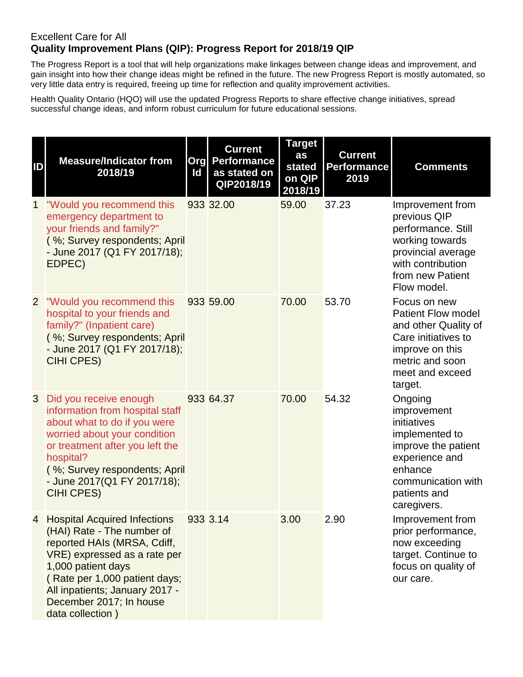## Excellent Care for All **Quality Improvement Plans (QIP): Progress Report for 2018/19 QIP**

The Progress Report is a tool that will help organizations make linkages between change ideas and improvement, and gain insight into how their change ideas might be refined in the future. The new Progress Report is mostly automated, so very little data entry is required, freeing up time for reflection and quality improvement activities.

Health Quality Ontario (HQO) will use the updated Progress Reports to share effective change initiatives, spread successful change ideas, and inform robust curriculum for future educational sessions.

| ID             | <b>Measure/Indicator from</b><br>2018/19                                                                                                                                                                                                                            | Id | <b>Current</b><br><b>Org Performance</b><br>as stated on<br>QIP2018/19 | <b>Target</b><br>as<br>stated<br>on QIP<br>2018/19 | <b>Current</b><br><b>Performance</b><br>2019 | <b>Comments</b>                                                                                                                                                  |
|----------------|---------------------------------------------------------------------------------------------------------------------------------------------------------------------------------------------------------------------------------------------------------------------|----|------------------------------------------------------------------------|----------------------------------------------------|----------------------------------------------|------------------------------------------------------------------------------------------------------------------------------------------------------------------|
| $\mathbf{1}$   | "Would you recommend this<br>emergency department to<br>your friends and family?"<br>(%; Survey respondents; April<br>- June 2017 (Q1 FY 2017/18);<br>EDPEC)                                                                                                        |    | 933 32.00                                                              | 59.00                                              | 37.23                                        | Improvement from<br>previous QIP<br>performance. Still<br>working towards<br>provincial average<br>with contribution<br>from new Patient<br>Flow model.          |
| $\overline{2}$ | "Would you recommend this<br>hospital to your friends and<br>family?" (Inpatient care)<br>(%; Survey respondents; April<br>- June 2017 (Q1 FY 2017/18);<br><b>CIHI CPES)</b>                                                                                        |    | 933 59.00                                                              | 70.00                                              | 53.70                                        | Focus on new<br><b>Patient Flow model</b><br>and other Quality of<br>Care initiatives to<br>improve on this<br>metric and soon<br>meet and exceed<br>target.     |
| 3              | Did you receive enough<br>information from hospital staff<br>about what to do if you were<br>worried about your condition<br>or treatment after you left the<br>hospital?<br>(%; Survey respondents; April<br>- June 2017(Q1 FY 2017/18);<br><b>CIHI CPES)</b>      |    | 933 64.37                                                              | 70.00                                              | 54.32                                        | Ongoing<br>improvement<br>initiatives<br>implemented to<br>improve the patient<br>experience and<br>enhance<br>communication with<br>patients and<br>caregivers. |
|                | 4 Hospital Acquired Infections<br>(HAI) Rate - The number of<br>reported HAIs (MRSA, Cdiff,<br>VRE) expressed as a rate per<br>1,000 patient days<br>(Rate per 1,000 patient days;<br>All inpatients; January 2017 -<br>December 2017; In house<br>data collection) |    | 933 3.14                                                               | 3.00                                               | 2.90                                         | Improvement from<br>prior performance,<br>now exceeding<br>target. Continue to<br>focus on quality of<br>our care.                                               |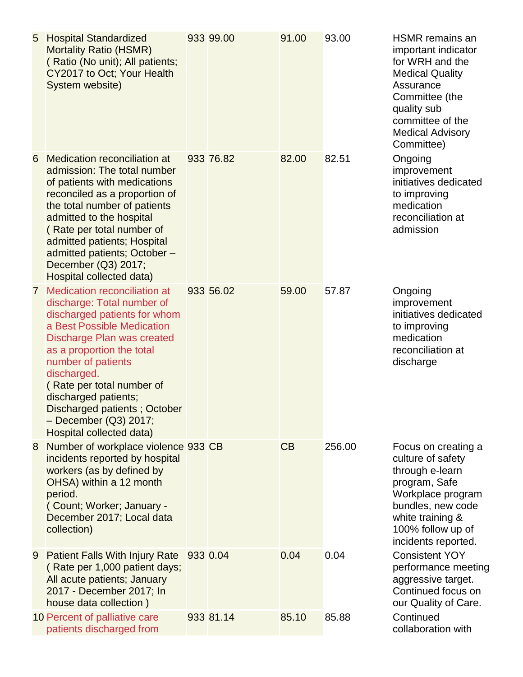| 5            | <b>Hospital Standardized</b><br><b>Mortality Ratio (HSMR)</b><br>(Ratio (No unit); All patients;<br>CY2017 to Oct; Your Health<br>System website)                                                                                                                                                                                                                  | 933 99.00 | 91.00 | 93.00  | <b>HSMR</b> remains an<br>important indicator<br>for WRH and the<br><b>Medical Quality</b><br>Assurance<br>Committee (the<br>quality sub<br>committee of the<br><b>Medical Advisory</b><br>Committee) |
|--------------|--------------------------------------------------------------------------------------------------------------------------------------------------------------------------------------------------------------------------------------------------------------------------------------------------------------------------------------------------------------------|-----------|-------|--------|-------------------------------------------------------------------------------------------------------------------------------------------------------------------------------------------------------|
| 6            | <b>Medication reconciliation at</b><br>admission: The total number<br>of patients with medications<br>reconciled as a proportion of<br>the total number of patients<br>admitted to the hospital<br>(Rate per total number of<br>admitted patients; Hospital<br>admitted patients; October -<br>December (Q3) 2017;<br>Hospital collected data)                     | 933 76.82 | 82.00 | 82.51  | Ongoing<br>improvement<br>initiatives dedicated<br>to improving<br>medication<br>reconciliation at<br>admission                                                                                       |
| $\mathbf{7}$ | Medication reconciliation at<br>discharge: Total number of<br>discharged patients for whom<br>a Best Possible Medication<br>Discharge Plan was created<br>as a proportion the total<br>number of patients<br>discharged.<br>(Rate per total number of<br>discharged patients;<br>Discharged patients; October<br>- December (Q3) 2017;<br>Hospital collected data) | 933 56.02 | 59.00 | 57.87  | Ongoing<br>improvement<br>initiatives dedicated<br>to improving<br>medication<br>reconciliation at<br>discharge                                                                                       |
| 8            | Number of workplace violence 933 CB<br>incidents reported by hospital<br>workers (as by defined by<br>OHSA) within a 12 month<br>period.<br>(Count; Worker; January -<br>December 2017; Local data<br>collection)                                                                                                                                                  |           | CB    | 256.00 | Focus on creating a<br>culture of safety<br>through e-learn<br>program, Safe<br>Workplace program<br>bundles, new code<br>white training &<br>100% follow up of<br>incidents reported.                |
| 9            | <b>Patient Falls With Injury Rate</b><br>(Rate per 1,000 patient days;<br>All acute patients; January<br>2017 - December 2017; In<br>house data collection)                                                                                                                                                                                                        | 933 0.04  | 0.04  | 0.04   | <b>Consistent YOY</b><br>performance meeting<br>aggressive target.<br>Continued focus on<br>our Quality of Care.                                                                                      |
|              | 10 Percent of palliative care<br>patients discharged from                                                                                                                                                                                                                                                                                                          | 933 81.14 | 85.10 | 85.88  | Continued<br>collaboration with                                                                                                                                                                       |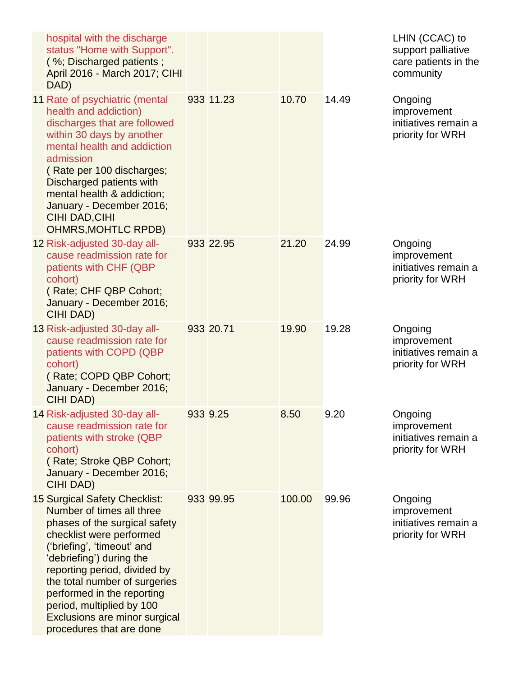| hospital with the discharge<br>status "Home with Support".<br>(%; Discharged patients;<br>April 2016 - March 2017; CIHI<br>DAD)                                                                                                                                                                                                                                            |           |        |       | LHIN (CCAC) to<br>support palliative<br>care patients in the<br>community |
|----------------------------------------------------------------------------------------------------------------------------------------------------------------------------------------------------------------------------------------------------------------------------------------------------------------------------------------------------------------------------|-----------|--------|-------|---------------------------------------------------------------------------|
| 11 Rate of psychiatric (mental<br>health and addiction)<br>discharges that are followed<br>within 30 days by another<br>mental health and addiction<br>admission<br>(Rate per 100 discharges;<br>Discharged patients with<br>mental health & addiction;<br>January - December 2016;<br><b>CIHI DAD, CIHI</b><br><b>OHMRS, MOHTLC RPDB)</b>                                 | 933 11.23 | 10.70  | 14.49 | Ongoing<br>improvement<br>initiatives remain a<br>priority for WRH        |
| 12 Risk-adjusted 30-day all-<br>cause readmission rate for<br>patients with CHF (QBP<br>cohort)<br>(Rate; CHF QBP Cohort;<br>January - December 2016;<br><b>CIHI DAD)</b>                                                                                                                                                                                                  | 933 22.95 | 21.20  | 24.99 | Ongoing<br>improvement<br>initiatives remain a<br>priority for WRH        |
| 13 Risk-adjusted 30-day all-<br>cause readmission rate for<br>patients with COPD (QBP<br>cohort)<br>(Rate; COPD QBP Cohort;<br>January - December 2016;<br><b>CIHI DAD)</b>                                                                                                                                                                                                | 933 20.71 | 19.90  | 19.28 | Ongoing<br>improvement<br>initiatives remain a<br>priority for WRH        |
| 14 Risk-adjusted 30-day all-<br>cause readmission rate for<br>patients with stroke (QBP<br>cohort)<br>(Rate; Stroke QBP Cohort;<br>January - December 2016;<br><b>CIHI DAD)</b>                                                                                                                                                                                            | 933 9.25  | 8.50   | 9.20  | Ongoing<br>improvement<br>initiatives remain a<br>priority for WRH        |
| 15 Surgical Safety Checklist:<br>Number of times all three<br>phases of the surgical safety<br>checklist were performed<br>('briefing', 'timeout' and<br>'debriefing') during the<br>reporting period, divided by<br>the total number of surgeries<br>performed in the reporting<br>period, multiplied by 100<br>Exclusions are minor surgical<br>procedures that are done | 933 99.95 | 100.00 | 99.96 | Ongoing<br>improvement<br>initiatives remain a<br>priority for WRH        |